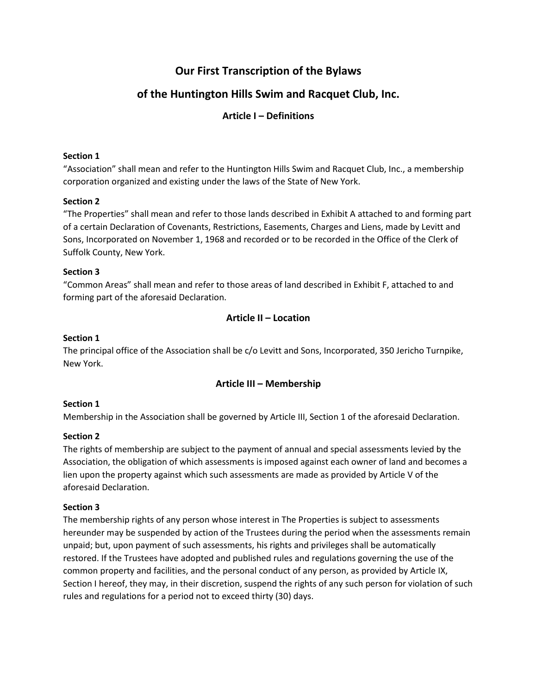# **Our First Transcription of the Bylaws**

# **of the Huntington Hills Swim and Racquet Club, Inc.**

## **Article I – Definitions**

#### **Section 1**

"Association" shall mean and refer to the Huntington Hills Swim and Racquet Club, Inc., a membership corporation organized and existing under the laws of the State of New York.

## **Section 2**

"The Properties" shall mean and refer to those lands described in Exhibit A attached to and forming part of a certain Declaration of Covenants, Restrictions, Easements, Charges and Liens, made by Levitt and Sons, Incorporated on November 1, 1968 and recorded or to be recorded in the Office of the Clerk of Suffolk County, New York.

## **Section 3**

"Common Areas" shall mean and refer to those areas of land described in Exhibit F, attached to and forming part of the aforesaid Declaration.

## **Article II – Location**

## **Section 1**

The principal office of the Association shall be c/o Levitt and Sons, Incorporated, 350 Jericho Turnpike, New York.

## **Article III – Membership**

## **Section 1**

Membership in the Association shall be governed by Article III, Section 1 of the aforesaid Declaration.

## **Section 2**

The rights of membership are subject to the payment of annual and special assessments levied by the Association, the obligation of which assessments is imposed against each owner of land and becomes a lien upon the property against which such assessments are made as provided by Article V of the aforesaid Declaration.

## **Section 3**

The membership rights of any person whose interest in The Properties is subject to assessments hereunder may be suspended by action of the Trustees during the period when the assessments remain unpaid; but, upon payment of such assessments, his rights and privileges shall be automatically restored. If the Trustees have adopted and published rules and regulations governing the use of the common property and facilities, and the personal conduct of any person, as provided by Article IX, Section I hereof, they may, in their discretion, suspend the rights of any such person for violation of such rules and regulations for a period not to exceed thirty (30) days.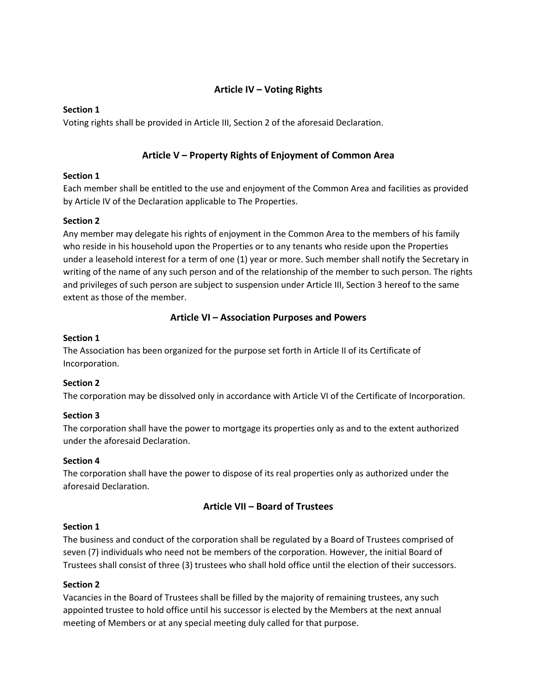## **Article IV – Voting Rights**

#### **Section 1**

Voting rights shall be provided in Article III, Section 2 of the aforesaid Declaration.

## **Article V – Property Rights of Enjoyment of Common Area**

## **Section 1**

Each member shall be entitled to the use and enjoyment of the Common Area and facilities as provided by Article IV of the Declaration applicable to The Properties.

#### **Section 2**

Any member may delegate his rights of enjoyment in the Common Area to the members of his family who reside in his household upon the Properties or to any tenants who reside upon the Properties under a leasehold interest for a term of one (1) year or more. Such member shall notify the Secretary in writing of the name of any such person and of the relationship of the member to such person. The rights and privileges of such person are subject to suspension under Article III, Section 3 hereof to the same extent as those of the member.

## **Article VI – Association Purposes and Powers**

#### **Section 1**

The Association has been organized for the purpose set forth in Article II of its Certificate of Incorporation.

## **Section 2**

The corporation may be dissolved only in accordance with Article VI of the Certificate of Incorporation.

## **Section 3**

The corporation shall have the power to mortgage its properties only as and to the extent authorized under the aforesaid Declaration.

## **Section 4**

The corporation shall have the power to dispose of its real properties only as authorized under the aforesaid Declaration.

## **Article VII – Board of Trustees**

## **Section 1**

The business and conduct of the corporation shall be regulated by a Board of Trustees comprised of seven (7) individuals who need not be members of the corporation. However, the initial Board of Trustees shall consist of three (3) trustees who shall hold office until the election of their successors.

## **Section 2**

Vacancies in the Board of Trustees shall be filled by the majority of remaining trustees, any such appointed trustee to hold office until his successor is elected by the Members at the next annual meeting of Members or at any special meeting duly called for that purpose.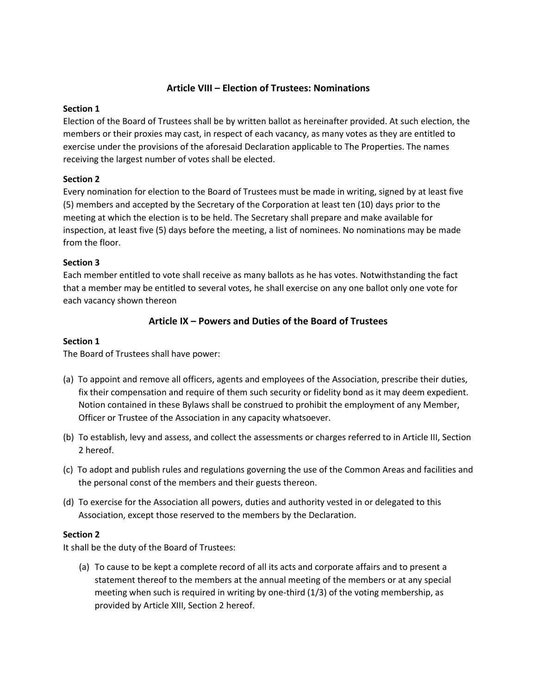#### **Article VIII – Election of Trustees: Nominations**

#### **Section 1**

Election of the Board of Trustees shall be by written ballot as hereinafter provided. At such election, the members or their proxies may cast, in respect of each vacancy, as many votes as they are entitled to exercise under the provisions of the aforesaid Declaration applicable to The Properties. The names receiving the largest number of votes shall be elected.

## **Section 2**

Every nomination for election to the Board of Trustees must be made in writing, signed by at least five (5) members and accepted by the Secretary of the Corporation at least ten (10) days prior to the meeting at which the election is to be held. The Secretary shall prepare and make available for inspection, at least five (5) days before the meeting, a list of nominees. No nominations may be made from the floor.

#### **Section 3**

Each member entitled to vote shall receive as many ballots as he has votes. Notwithstanding the fact that a member may be entitled to several votes, he shall exercise on any one ballot only one vote for each vacancy shown thereon

## **Article IX – Powers and Duties of the Board of Trustees**

#### **Section 1**

The Board of Trustees shall have power:

- (a) To appoint and remove all officers, agents and employees of the Association, prescribe their duties, fix their compensation and require of them such security or fidelity bond as it may deem expedient. Notion contained in these Bylaws shall be construed to prohibit the employment of any Member, Officer or Trustee of the Association in any capacity whatsoever.
- (b) To establish, levy and assess, and collect the assessments or charges referred to in Article III, Section 2 hereof.
- (c) To adopt and publish rules and regulations governing the use of the Common Areas and facilities and the personal const of the members and their guests thereon.
- (d) To exercise for the Association all powers, duties and authority vested in or delegated to this Association, except those reserved to the members by the Declaration.

## **Section 2**

It shall be the duty of the Board of Trustees:

(a) To cause to be kept a complete record of all its acts and corporate affairs and to present a statement thereof to the members at the annual meeting of the members or at any special meeting when such is required in writing by one-third (1/3) of the voting membership, as provided by Article XIII, Section 2 hereof.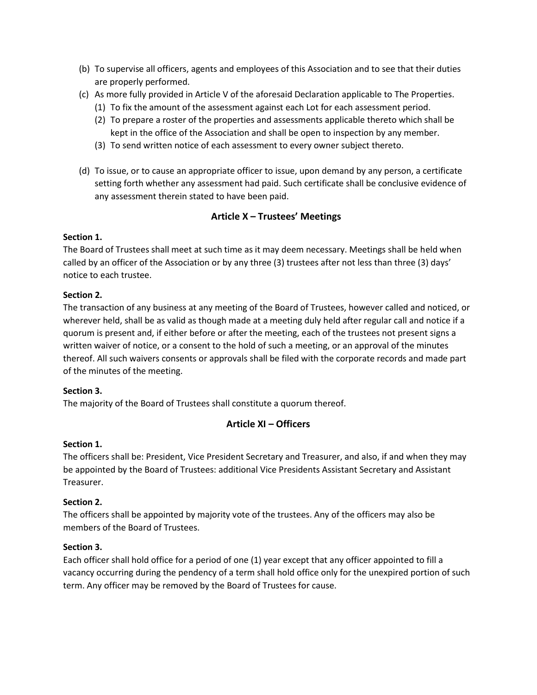- (b) To supervise all officers, agents and employees of this Association and to see that their duties are properly performed.
- (c) As more fully provided in Article V of the aforesaid Declaration applicable to The Properties.
	- (1) To fix the amount of the assessment against each Lot for each assessment period.
	- (2) To prepare a roster of the properties and assessments applicable thereto which shall be kept in the office of the Association and shall be open to inspection by any member.
	- (3) To send written notice of each assessment to every owner subject thereto.
- (d) To issue, or to cause an appropriate officer to issue, upon demand by any person, a certificate setting forth whether any assessment had paid. Such certificate shall be conclusive evidence of any assessment therein stated to have been paid.

## **Article X – Trustees' Meetings**

#### **Section 1.**

The Board of Trustees shall meet at such time as it may deem necessary. Meetings shall be held when called by an officer of the Association or by any three (3) trustees after not less than three (3) days' notice to each trustee.

#### **Section 2.**

The transaction of any business at any meeting of the Board of Trustees, however called and noticed, or wherever held, shall be as valid as though made at a meeting duly held after regular call and notice if a quorum is present and, if either before or after the meeting, each of the trustees not present signs a written waiver of notice, or a consent to the hold of such a meeting, or an approval of the minutes thereof. All such waivers consents or approvals shall be filed with the corporate records and made part of the minutes of the meeting.

#### **Section 3.**

The majority of the Board of Trustees shall constitute a quorum thereof.

## **Article XI – Officers**

#### **Section 1.**

The officers shall be: President, Vice President Secretary and Treasurer, and also, if and when they may be appointed by the Board of Trustees: additional Vice Presidents Assistant Secretary and Assistant Treasurer.

#### **Section 2.**

The officers shall be appointed by majority vote of the trustees. Any of the officers may also be members of the Board of Trustees.

#### **Section 3.**

Each officer shall hold office for a period of one (1) year except that any officer appointed to fill a vacancy occurring during the pendency of a term shall hold office only for the unexpired portion of such term. Any officer may be removed by the Board of Trustees for cause.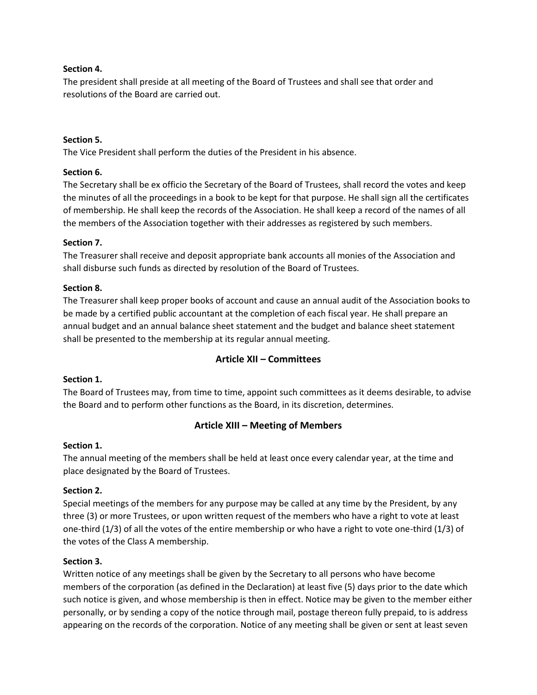#### **Section 4.**

The president shall preside at all meeting of the Board of Trustees and shall see that order and resolutions of the Board are carried out.

#### **Section 5.**

The Vice President shall perform the duties of the President in his absence.

#### **Section 6.**

The Secretary shall be ex officio the Secretary of the Board of Trustees, shall record the votes and keep the minutes of all the proceedings in a book to be kept for that purpose. He shall sign all the certificates of membership. He shall keep the records of the Association. He shall keep a record of the names of all the members of the Association together with their addresses as registered by such members.

#### **Section 7.**

The Treasurer shall receive and deposit appropriate bank accounts all monies of the Association and shall disburse such funds as directed by resolution of the Board of Trustees.

#### **Section 8.**

The Treasurer shall keep proper books of account and cause an annual audit of the Association books to be made by a certified public accountant at the completion of each fiscal year. He shall prepare an annual budget and an annual balance sheet statement and the budget and balance sheet statement shall be presented to the membership at its regular annual meeting.

## **Article XII – Committees**

#### **Section 1.**

The Board of Trustees may, from time to time, appoint such committees as it deems desirable, to advise the Board and to perform other functions as the Board, in its discretion, determines.

## **Article XIII – Meeting of Members**

#### **Section 1.**

The annual meeting of the members shall be held at least once every calendar year, at the time and place designated by the Board of Trustees.

#### **Section 2.**

Special meetings of the members for any purpose may be called at any time by the President, by any three (3) or more Trustees, or upon written request of the members who have a right to vote at least one-third (1/3) of all the votes of the entire membership or who have a right to vote one-third (1/3) of the votes of the Class A membership.

#### **Section 3.**

Written notice of any meetings shall be given by the Secretary to all persons who have become members of the corporation (as defined in the Declaration) at least five (5) days prior to the date which such notice is given, and whose membership is then in effect. Notice may be given to the member either personally, or by sending a copy of the notice through mail, postage thereon fully prepaid, to is address appearing on the records of the corporation. Notice of any meeting shall be given or sent at least seven